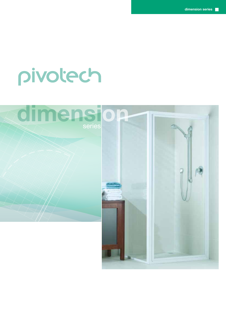# pivotech